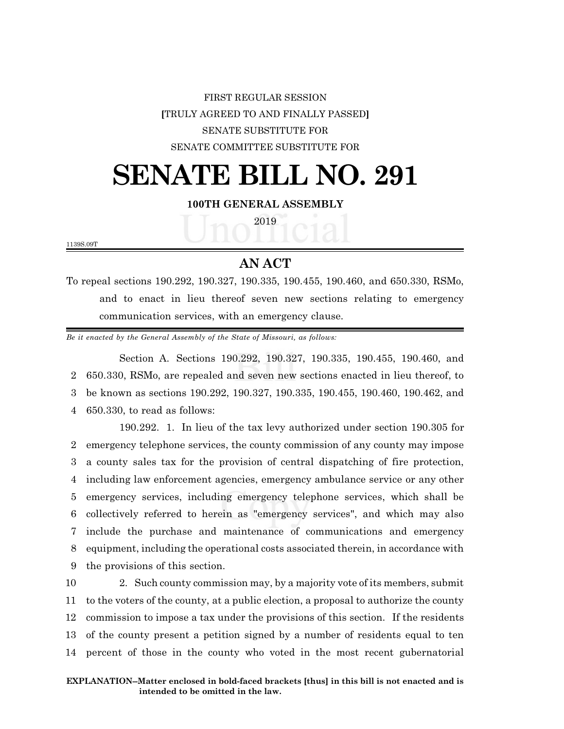# FIRST REGULAR SESSION **[**TRULY AGREED TO AND FINALLY PASSED**]** SENATE SUBSTITUTE FOR SENATE COMMITTEE SUBSTITUTE FOR

# **SENATE BILL NO. 291**

### **100TH GENERAL ASSEMBLY**

2019

1139S.09T

## **AN ACT**

To repeal sections 190.292, 190.327, 190.335, 190.455, 190.460, and 650.330, RSMo, and to enact in lieu thereof seven new sections relating to emergency communication services, with an emergency clause.

*Be it enacted by the General Assembly of the State of Missouri, as follows:*

Section A. Sections 190.292, 190.327, 190.335, 190.455, 190.460, and 650.330, RSMo, are repealed and seven new sections enacted in lieu thereof, to be known as sections 190.292, 190.327, 190.335, 190.455, 190.460, 190.462, and 650.330, to read as follows:

190.292. 1. In lieu of the tax levy authorized under section 190.305 for emergency telephone services, the county commission of any county may impose a county sales tax for the provision of central dispatching of fire protection, including law enforcement agencies, emergency ambulance service or any other emergency services, including emergency telephone services, which shall be collectively referred to herein as "emergency services", and which may also include the purchase and maintenance of communications and emergency equipment, including the operational costs associated therein, in accordance with the provisions of this section.

 2. Such county commission may, by a majority vote of its members, submit to the voters of the county, at a public election, a proposal to authorize the county commission to impose a tax under the provisions of this section. If the residents of the county present a petition signed by a number of residents equal to ten percent of those in the county who voted in the most recent gubernatorial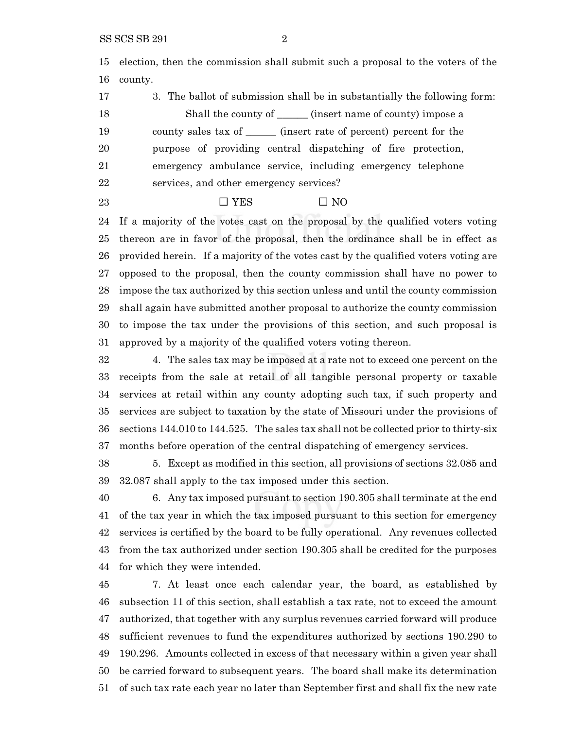election, then the commission shall submit such a proposal to the voters of the county.

 3. The ballot of submission shall be in substantially the following form: 18 Shall the county of \_\_\_\_\_\_\_ (insert name of county) impose a county sales tax of \_\_\_\_\_\_ (insert rate of percent) percent for the purpose of providing central dispatching of fire protection, emergency ambulance service, including emergency telephone services, and other emergency services?

### 23  $\Box$  YES  $\Box$  NO

 If a majority of the votes cast on the proposal by the qualified voters voting thereon are in favor of the proposal, then the ordinance shall be in effect as provided herein. If a majority of the votes cast by the qualified voters voting are opposed to the proposal, then the county commission shall have no power to impose the tax authorized by this section unless and until the county commission shall again have submitted another proposal to authorize the county commission to impose the tax under the provisions of this section, and such proposal is approved by a majority of the qualified voters voting thereon.

 4. The sales tax may be imposed at a rate not to exceed one percent on the receipts from the sale at retail of all tangible personal property or taxable services at retail within any county adopting such tax, if such property and services are subject to taxation by the state of Missouri under the provisions of sections 144.010 to 144.525. The sales tax shall not be collected prior to thirty-six months before operation of the central dispatching of emergency services.

 5. Except as modified in this section, all provisions of sections 32.085 and 32.087 shall apply to the tax imposed under this section.

 6. Any tax imposed pursuant to section 190.305 shall terminate at the end of the tax year in which the tax imposed pursuant to this section for emergency services is certified by the board to be fully operational. Any revenues collected from the tax authorized under section 190.305 shall be credited for the purposes for which they were intended.

 7. At least once each calendar year, the board, as established by subsection 11 of this section, shall establish a tax rate, not to exceed the amount authorized, that together with any surplus revenues carried forward will produce sufficient revenues to fund the expenditures authorized by sections 190.290 to 190.296. Amounts collected in excess of that necessary within a given year shall be carried forward to subsequent years. The board shall make its determination of such tax rate each year no later than September first and shall fix the new rate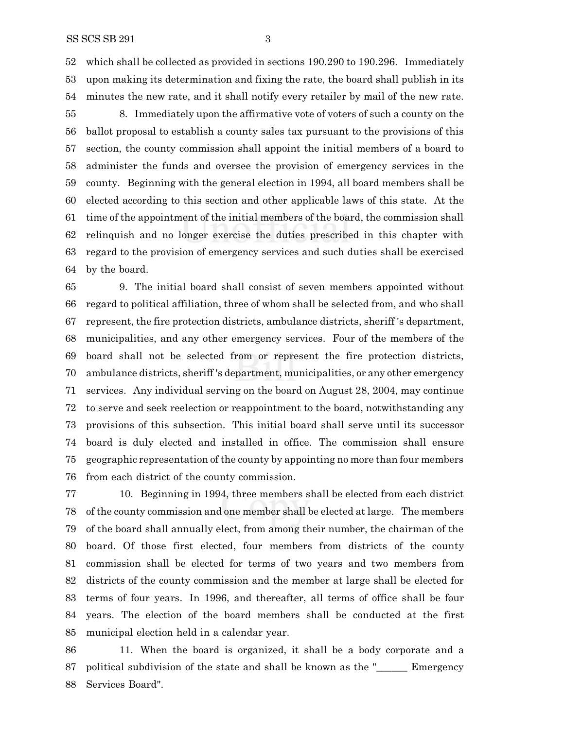which shall be collected as provided in sections 190.290 to 190.296. Immediately upon making its determination and fixing the rate, the board shall publish in its minutes the new rate, and it shall notify every retailer by mail of the new rate.

 8. Immediately upon the affirmative vote of voters of such a county on the ballot proposal to establish a county sales tax pursuant to the provisions of this section, the county commission shall appoint the initial members of a board to administer the funds and oversee the provision of emergency services in the county. Beginning with the general election in 1994, all board members shall be elected according to this section and other applicable laws of this state. At the time of the appointment of the initial members of the board, the commission shall relinquish and no longer exercise the duties prescribed in this chapter with regard to the provision of emergency services and such duties shall be exercised by the board.

 9. The initial board shall consist of seven members appointed without regard to political affiliation, three of whom shall be selected from, and who shall represent, the fire protection districts, ambulance districts, sheriff 's department, municipalities, and any other emergency services. Four of the members of the board shall not be selected from or represent the fire protection districts, ambulance districts, sheriff 's department, municipalities, or any other emergency services. Any individual serving on the board on August 28, 2004, may continue to serve and seek reelection or reappointment to the board, notwithstanding any provisions of this subsection. This initial board shall serve until its successor board is duly elected and installed in office. The commission shall ensure geographic representation of the county by appointing no more than four members from each district of the county commission.

 10. Beginning in 1994, three members shall be elected from each district of the county commission and one member shall be elected at large. The members of the board shall annually elect, from among their number, the chairman of the board. Of those first elected, four members from districts of the county commission shall be elected for terms of two years and two members from districts of the county commission and the member at large shall be elected for terms of four years. In 1996, and thereafter, all terms of office shall be four years. The election of the board members shall be conducted at the first municipal election held in a calendar year.

 11. When the board is organized, it shall be a body corporate and a political subdivision of the state and shall be known as the "\_\_\_\_\_\_ Emergency Services Board".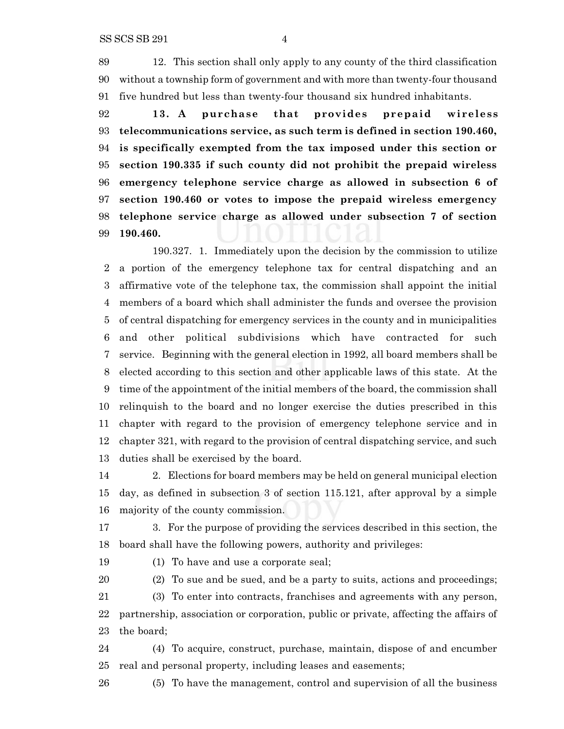12. This section shall only apply to any county of the third classification without a township form of government and with more than twenty-four thousand five hundred but less than twenty-four thousand six hundred inhabitants.

 **13. A purchase that provides prepaid wireless telecommunications service, as such term is defined in section 190.460, is specifically exempted from the tax imposed under this section or section 190.335 if such county did not prohibit the prepaid wireless emergency telephone service charge as allowed in subsection 6 of section 190.460 or votes to impose the prepaid wireless emergency telephone service charge as allowed under subsection 7 of section 190.460.**

190.327. 1. Immediately upon the decision by the commission to utilize a portion of the emergency telephone tax for central dispatching and an affirmative vote of the telephone tax, the commission shall appoint the initial members of a board which shall administer the funds and oversee the provision of central dispatching for emergency services in the county and in municipalities and other political subdivisions which have contracted for such service. Beginning with the general election in 1992, all board members shall be elected according to this section and other applicable laws of this state. At the time of the appointment of the initial members of the board, the commission shall relinquish to the board and no longer exercise the duties prescribed in this chapter with regard to the provision of emergency telephone service and in chapter 321, with regard to the provision of central dispatching service, and such duties shall be exercised by the board.

 2. Elections for board members may be held on general municipal election day, as defined in subsection 3 of section 115.121, after approval by a simple majority of the county commission.

 3. For the purpose of providing the services described in this section, the board shall have the following powers, authority and privileges:

(1) To have and use a corporate seal;

 (2) To sue and be sued, and be a party to suits, actions and proceedings; (3) To enter into contracts, franchises and agreements with any person, partnership, association or corporation, public or private, affecting the affairs of the board;

 (4) To acquire, construct, purchase, maintain, dispose of and encumber real and personal property, including leases and easements;

(5) To have the management, control and supervision of all the business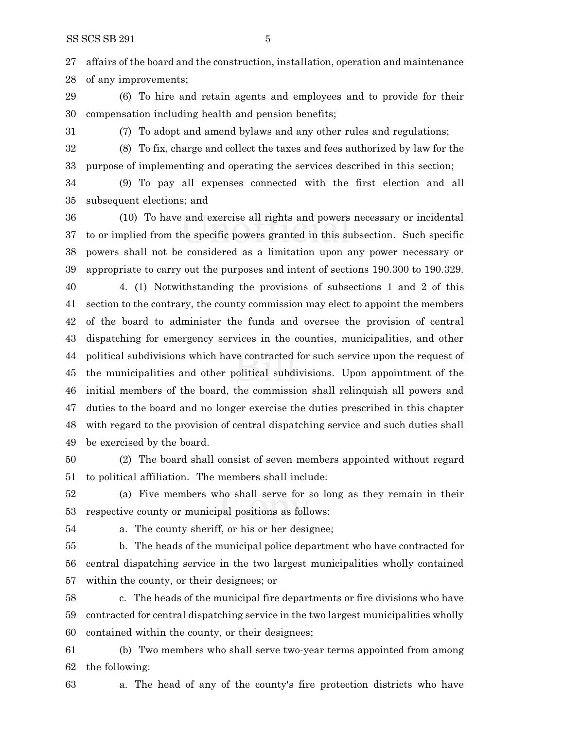affairs of the board and the construction, installation, operation and maintenance of any improvements;

 (6) To hire and retain agents and employees and to provide for their compensation including health and pension benefits;

(7) To adopt and amend bylaws and any other rules and regulations;

 (8) To fix, charge and collect the taxes and fees authorized by law for the purpose of implementing and operating the services described in this section;

 (9) To pay all expenses connected with the first election and all subsequent elections; and

 (10) To have and exercise all rights and powers necessary or incidental to or implied from the specific powers granted in this subsection. Such specific powers shall not be considered as a limitation upon any power necessary or appropriate to carry out the purposes and intent of sections 190.300 to 190.329.

 4. (1) Notwithstanding the provisions of subsections 1 and 2 of this section to the contrary, the county commission may elect to appoint the members of the board to administer the funds and oversee the provision of central dispatching for emergency services in the counties, municipalities, and other political subdivisions which have contracted for such service upon the request of the municipalities and other political subdivisions. Upon appointment of the initial members of the board, the commission shall relinquish all powers and duties to the board and no longer exercise the duties prescribed in this chapter with regard to the provision of central dispatching service and such duties shall be exercised by the board.

 (2) The board shall consist of seven members appointed without regard to political affiliation. The members shall include:

 (a) Five members who shall serve for so long as they remain in their respective county or municipal positions as follows:

a. The county sheriff, or his or her designee;

b. The heads of the municipal police department who have contracted for

 central dispatching service in the two largest municipalities wholly contained within the county, or their designees; or

 c. The heads of the municipal fire departments or fire divisions who have contracted for central dispatching service in the two largest municipalities wholly contained within the county, or their designees;

 (b) Two members who shall serve two-year terms appointed from among the following:

a. The head of any of the county's fire protection districts who have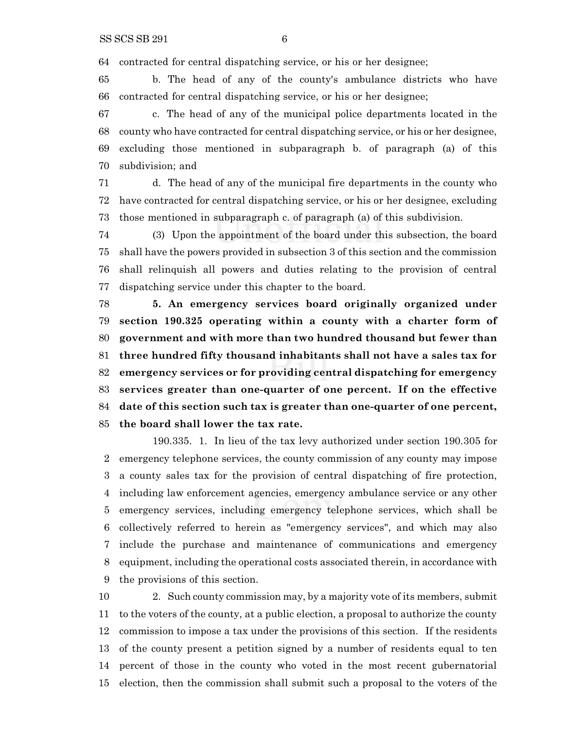contracted for central dispatching service, or his or her designee;

 b. The head of any of the county's ambulance districts who have contracted for central dispatching service, or his or her designee;

 c. The head of any of the municipal police departments located in the county who have contracted for central dispatching service, or his or her designee, excluding those mentioned in subparagraph b. of paragraph (a) of this subdivision; and

 d. The head of any of the municipal fire departments in the county who have contracted for central dispatching service, or his or her designee, excluding those mentioned in subparagraph c. of paragraph (a) of this subdivision.

 (3) Upon the appointment of the board under this subsection, the board shall have the powers provided in subsection 3 of this section and the commission shall relinquish all powers and duties relating to the provision of central dispatching service under this chapter to the board.

 **5. An emergency services board originally organized under section 190.325 operating within a county with a charter form of government and with more than two hundred thousand but fewer than three hundred fifty thousand inhabitants shall not have a sales tax for emergency services or for providing central dispatching for emergency services greater than one-quarter of one percent. If on the effective date of this section such tax is greater than one-quarter of one percent, the board shall lower the tax rate.**

190.335. 1. In lieu of the tax levy authorized under section 190.305 for emergency telephone services, the county commission of any county may impose a county sales tax for the provision of central dispatching of fire protection, including law enforcement agencies, emergency ambulance service or any other emergency services, including emergency telephone services, which shall be collectively referred to herein as "emergency services", and which may also include the purchase and maintenance of communications and emergency equipment, including the operational costs associated therein, in accordance with the provisions of this section.

 2. Such county commission may, by a majority vote of its members, submit to the voters of the county, at a public election, a proposal to authorize the county commission to impose a tax under the provisions of this section. If the residents of the county present a petition signed by a number of residents equal to ten percent of those in the county who voted in the most recent gubernatorial election, then the commission shall submit such a proposal to the voters of the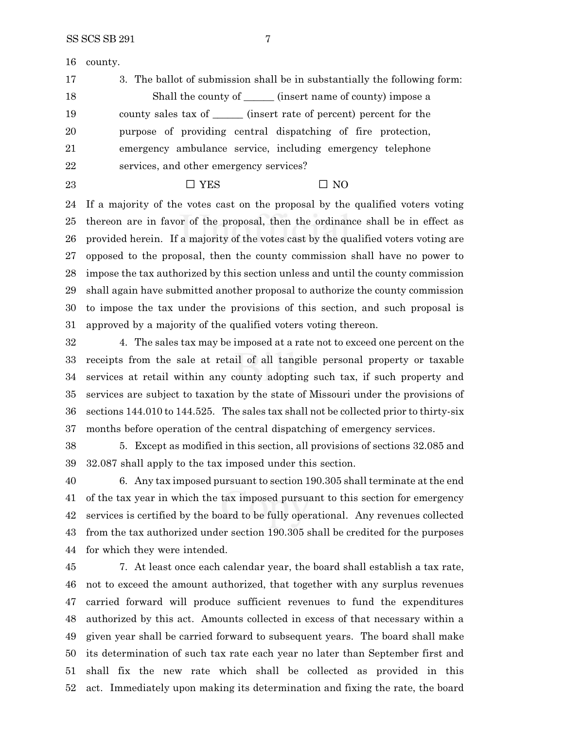county.

 3. The ballot of submission shall be in substantially the following form: 18 Shall the county of (insert name of county) impose a county sales tax of \_\_\_\_\_\_ (insert rate of percent) percent for the purpose of providing central dispatching of fire protection, emergency ambulance service, including emergency telephone services, and other emergency services?

23  $\square$  YES  $\square$  NO

 If a majority of the votes cast on the proposal by the qualified voters voting thereon are in favor of the proposal, then the ordinance shall be in effect as provided herein. If a majority of the votes cast by the qualified voters voting are opposed to the proposal, then the county commission shall have no power to impose the tax authorized by this section unless and until the county commission shall again have submitted another proposal to authorize the county commission to impose the tax under the provisions of this section, and such proposal is approved by a majority of the qualified voters voting thereon.

 4. The sales tax may be imposed at a rate not to exceed one percent on the receipts from the sale at retail of all tangible personal property or taxable services at retail within any county adopting such tax, if such property and services are subject to taxation by the state of Missouri under the provisions of sections 144.010 to 144.525. The sales tax shall not be collected prior to thirty-six months before operation of the central dispatching of emergency services.

 5. Except as modified in this section, all provisions of sections 32.085 and 32.087 shall apply to the tax imposed under this section.

 6. Any tax imposed pursuant to section 190.305 shall terminate at the end of the tax year in which the tax imposed pursuant to this section for emergency services is certified by the board to be fully operational. Any revenues collected from the tax authorized under section 190.305 shall be credited for the purposes for which they were intended.

 7. At least once each calendar year, the board shall establish a tax rate, not to exceed the amount authorized, that together with any surplus revenues carried forward will produce sufficient revenues to fund the expenditures authorized by this act. Amounts collected in excess of that necessary within a given year shall be carried forward to subsequent years. The board shall make its determination of such tax rate each year no later than September first and shall fix the new rate which shall be collected as provided in this act. Immediately upon making its determination and fixing the rate, the board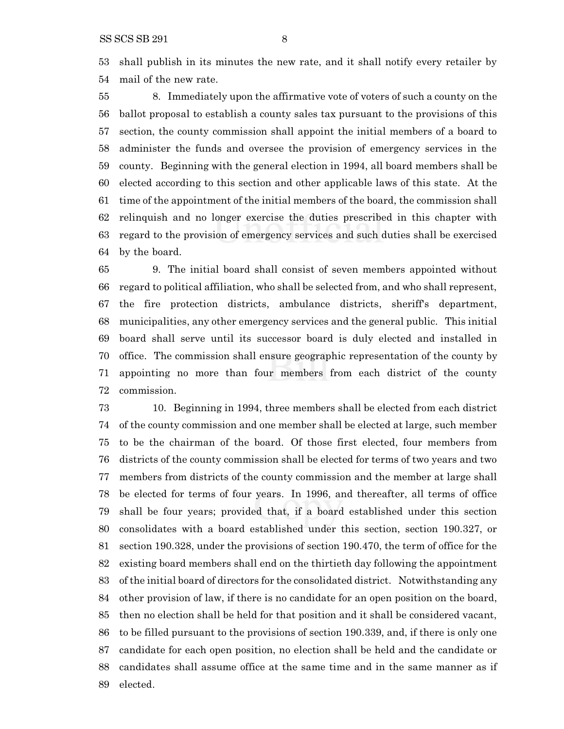shall publish in its minutes the new rate, and it shall notify every retailer by mail of the new rate.

 8. Immediately upon the affirmative vote of voters of such a county on the ballot proposal to establish a county sales tax pursuant to the provisions of this section, the county commission shall appoint the initial members of a board to administer the funds and oversee the provision of emergency services in the county. Beginning with the general election in 1994, all board members shall be elected according to this section and other applicable laws of this state. At the time of the appointment of the initial members of the board, the commission shall relinquish and no longer exercise the duties prescribed in this chapter with regard to the provision of emergency services and such duties shall be exercised by the board.

 9. The initial board shall consist of seven members appointed without regard to political affiliation, who shall be selected from, and who shall represent, the fire protection districts, ambulance districts, sheriff's department, municipalities, any other emergency services and the general public. This initial board shall serve until its successor board is duly elected and installed in office. The commission shall ensure geographic representation of the county by appointing no more than four members from each district of the county commission.

 10. Beginning in 1994, three members shall be elected from each district of the county commission and one member shall be elected at large, such member to be the chairman of the board. Of those first elected, four members from districts of the county commission shall be elected for terms of two years and two members from districts of the county commission and the member at large shall be elected for terms of four years. In 1996, and thereafter, all terms of office shall be four years; provided that, if a board established under this section consolidates with a board established under this section, section 190.327, or section 190.328, under the provisions of section 190.470, the term of office for the existing board members shall end on the thirtieth day following the appointment of the initial board of directors for the consolidated district. Notwithstanding any other provision of law, if there is no candidate for an open position on the board, then no election shall be held for that position and it shall be considered vacant, to be filled pursuant to the provisions of section 190.339, and, if there is only one candidate for each open position, no election shall be held and the candidate or candidates shall assume office at the same time and in the same manner as if elected.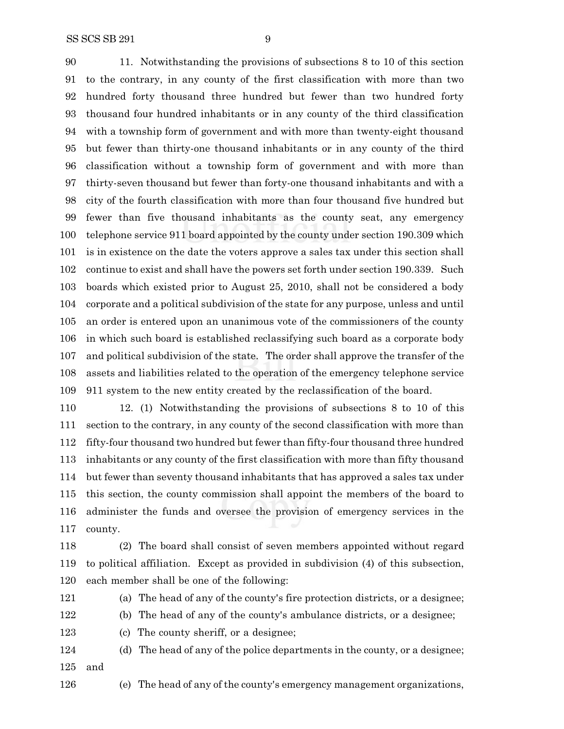11. Notwithstanding the provisions of subsections 8 to 10 of this section to the contrary, in any county of the first classification with more than two hundred forty thousand three hundred but fewer than two hundred forty thousand four hundred inhabitants or in any county of the third classification with a township form of government and with more than twenty-eight thousand but fewer than thirty-one thousand inhabitants or in any county of the third classification without a township form of government and with more than thirty-seven thousand but fewer than forty-one thousand inhabitants and with a city of the fourth classification with more than four thousand five hundred but fewer than five thousand inhabitants as the county seat, any emergency telephone service 911 board appointed by the county under section 190.309 which is in existence on the date the voters approve a sales tax under this section shall continue to exist and shall have the powers set forth under section 190.339. Such boards which existed prior to August 25, 2010, shall not be considered a body corporate and a political subdivision of the state for any purpose, unless and until an order is entered upon an unanimous vote of the commissioners of the county in which such board is established reclassifying such board as a corporate body and political subdivision of the state. The order shall approve the transfer of the

 assets and liabilities related to the operation of the emergency telephone service 911 system to the new entity created by the reclassification of the board.

 12. (1) Notwithstanding the provisions of subsections 8 to 10 of this section to the contrary, in any county of the second classification with more than fifty-four thousand two hundred but fewer than fifty-four thousand three hundred inhabitants or any county of the first classification with more than fifty thousand but fewer than seventy thousand inhabitants that has approved a sales tax under this section, the county commission shall appoint the members of the board to administer the funds and oversee the provision of emergency services in the county.

 (2) The board shall consist of seven members appointed without regard to political affiliation. Except as provided in subdivision (4) of this subsection, each member shall be one of the following:

(a) The head of any of the county's fire protection districts, or a designee;

(b) The head of any of the county's ambulance districts, or a designee;

(c) The county sheriff, or a designee;

 (d) The head of any of the police departments in the county, or a designee; and

(e) The head of any of the county's emergency management organizations,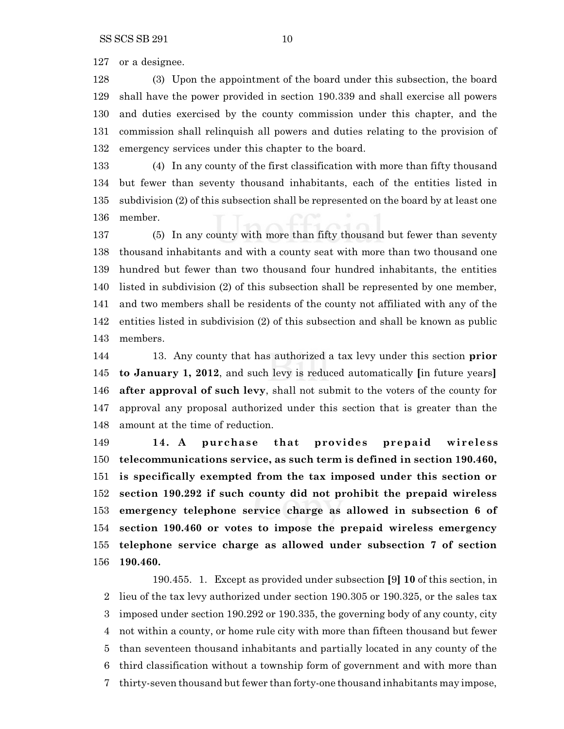or a designee.

 (3) Upon the appointment of the board under this subsection, the board shall have the power provided in section 190.339 and shall exercise all powers and duties exercised by the county commission under this chapter, and the commission shall relinquish all powers and duties relating to the provision of emergency services under this chapter to the board.

 (4) In any county of the first classification with more than fifty thousand but fewer than seventy thousand inhabitants, each of the entities listed in subdivision (2) of this subsection shall be represented on the board by at least one member.

 (5) In any county with more than fifty thousand but fewer than seventy thousand inhabitants and with a county seat with more than two thousand one hundred but fewer than two thousand four hundred inhabitants, the entities listed in subdivision (2) of this subsection shall be represented by one member, and two members shall be residents of the county not affiliated with any of the entities listed in subdivision (2) of this subsection and shall be known as public members.

 13. Any county that has authorized a tax levy under this section **prior to January 1, 2012**, and such levy is reduced automatically **[**in future years**] after approval of such levy**, shall not submit to the voters of the county for approval any proposal authorized under this section that is greater than the amount at the time of reduction.

 **14. A purchase that provides prepaid wireless telecommunications service, as such term is defined in section 190.460, is specifically exempted from the tax imposed under this section or section 190.292 if such county did not prohibit the prepaid wireless emergency telephone service charge as allowed in subsection 6 of section 190.460 or votes to impose the prepaid wireless emergency telephone service charge as allowed under subsection 7 of section 190.460.**

190.455. 1. Except as provided under subsection **[**9**] 10** of this section, in lieu of the tax levy authorized under section 190.305 or 190.325, or the sales tax imposed under section 190.292 or 190.335, the governing body of any county, city not within a county, or home rule city with more than fifteen thousand but fewer than seventeen thousand inhabitants and partially located in any county of the third classification without a township form of government and with more than thirty-seven thousand but fewer than forty-one thousand inhabitants may impose,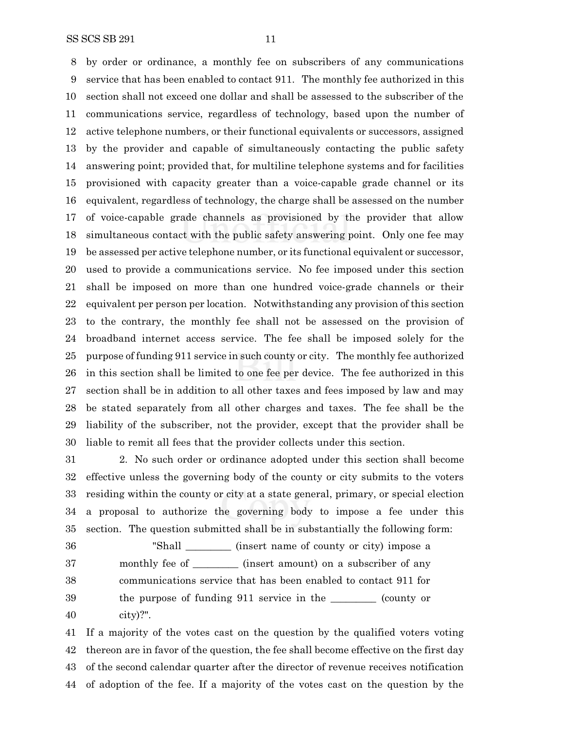by order or ordinance, a monthly fee on subscribers of any communications service that has been enabled to contact 911. The monthly fee authorized in this section shall not exceed one dollar and shall be assessed to the subscriber of the communications service, regardless of technology, based upon the number of active telephone numbers, or their functional equivalents or successors, assigned by the provider and capable of simultaneously contacting the public safety answering point; provided that, for multiline telephone systems and for facilities provisioned with capacity greater than a voice-capable grade channel or its equivalent, regardless of technology, the charge shall be assessed on the number of voice-capable grade channels as provisioned by the provider that allow simultaneous contact with the public safety answering point. Only one fee may be assessed per active telephone number, or its functional equivalent or successor, used to provide a communications service. No fee imposed under this section shall be imposed on more than one hundred voice-grade channels or their equivalent per person per location. Notwithstanding any provision of this section to the contrary, the monthly fee shall not be assessed on the provision of broadband internet access service. The fee shall be imposed solely for the purpose of funding 911 service in such county or city. The monthly fee authorized in this section shall be limited to one fee per device. The fee authorized in this section shall be in addition to all other taxes and fees imposed by law and may be stated separately from all other charges and taxes. The fee shall be the liability of the subscriber, not the provider, except that the provider shall be liable to remit all fees that the provider collects under this section.

 2. No such order or ordinance adopted under this section shall become effective unless the governing body of the county or city submits to the voters residing within the county or city at a state general, primary, or special election a proposal to authorize the governing body to impose a fee under this section. The question submitted shall be in substantially the following form:

 "Shall \_\_\_\_\_\_\_\_\_ (insert name of county or city) impose a monthly fee of \_\_\_\_\_\_\_\_\_ (insert amount) on a subscriber of any communications service that has been enabled to contact 911 for the purpose of funding 911 service in the \_\_\_\_\_\_\_\_\_ (county or city)?".

 If a majority of the votes cast on the question by the qualified voters voting thereon are in favor of the question, the fee shall become effective on the first day of the second calendar quarter after the director of revenue receives notification of adoption of the fee. If a majority of the votes cast on the question by the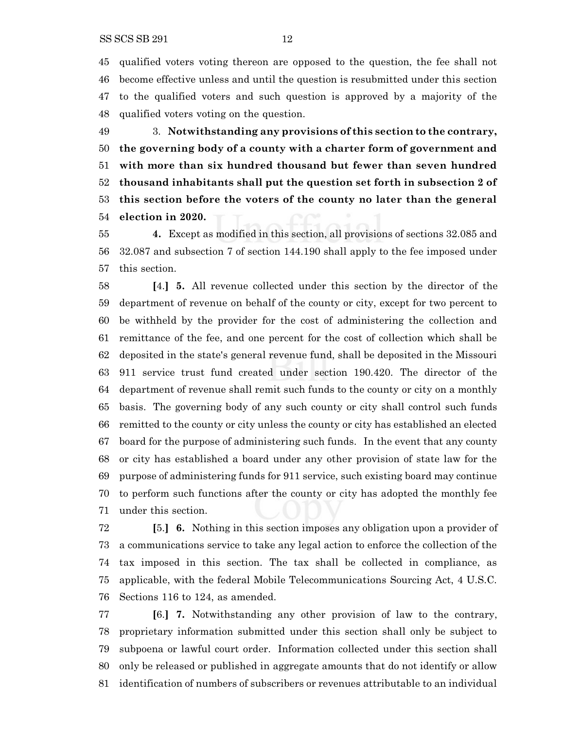qualified voters voting thereon are opposed to the question, the fee shall not become effective unless and until the question is resubmitted under this section to the qualified voters and such question is approved by a majority of the qualified voters voting on the question.

 3. **Notwithstanding any provisions of this section to the contrary, the governing body of a county with a charter form of government and with more than six hundred thousand but fewer than seven hundred thousand inhabitants shall put the question set forth in subsection 2 of this section before the voters of the county no later than the general election in 2020.**

 **4.** Except as modified in this section, all provisions of sections 32.085 and 32.087 and subsection 7 of section 144.190 shall apply to the fee imposed under this section.

 **[**4.**] 5.** All revenue collected under this section by the director of the department of revenue on behalf of the county or city, except for two percent to be withheld by the provider for the cost of administering the collection and remittance of the fee, and one percent for the cost of collection which shall be deposited in the state's general revenue fund, shall be deposited in the Missouri 911 service trust fund created under section 190.420. The director of the department of revenue shall remit such funds to the county or city on a monthly basis. The governing body of any such county or city shall control such funds remitted to the county or city unless the county or city has established an elected board for the purpose of administering such funds. In the event that any county or city has established a board under any other provision of state law for the purpose of administering funds for 911 service, such existing board may continue to perform such functions after the county or city has adopted the monthly fee under this section.

 **[**5.**] 6.** Nothing in this section imposes any obligation upon a provider of a communications service to take any legal action to enforce the collection of the tax imposed in this section. The tax shall be collected in compliance, as applicable, with the federal Mobile Telecommunications Sourcing Act, 4 U.S.C. Sections 116 to 124, as amended.

 **[**6.**] 7.** Notwithstanding any other provision of law to the contrary, proprietary information submitted under this section shall only be subject to subpoena or lawful court order. Information collected under this section shall only be released or published in aggregate amounts that do not identify or allow identification of numbers of subscribers or revenues attributable to an individual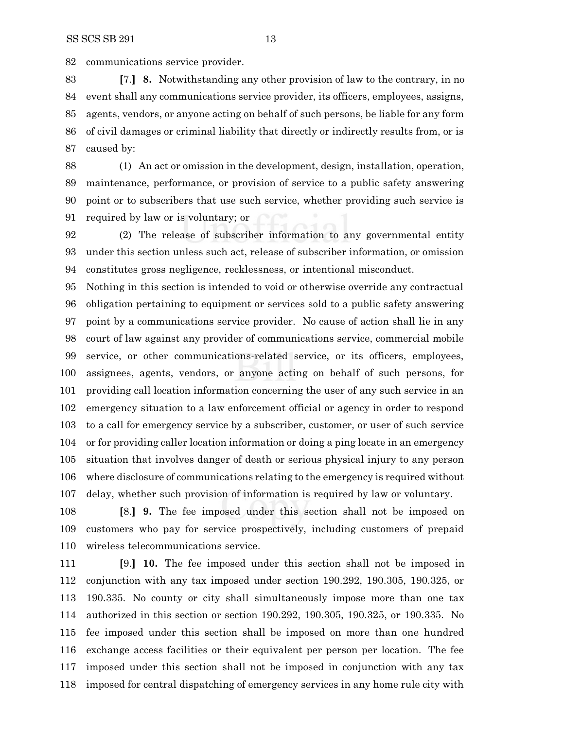communications service provider.

 **[**7.**] 8.** Notwithstanding any other provision of law to the contrary, in no event shall any communications service provider, its officers, employees, assigns, agents, vendors, or anyone acting on behalf of such persons, be liable for any form of civil damages or criminal liability that directly or indirectly results from, or is caused by:

 (1) An act or omission in the development, design, installation, operation, maintenance, performance, or provision of service to a public safety answering point or to subscribers that use such service, whether providing such service is required by law or is voluntary; or

 (2) The release of subscriber information to any governmental entity under this section unless such act, release of subscriber information, or omission constitutes gross negligence, recklessness, or intentional misconduct.

 Nothing in this section is intended to void or otherwise override any contractual obligation pertaining to equipment or services sold to a public safety answering point by a communications service provider. No cause of action shall lie in any court of law against any provider of communications service, commercial mobile service, or other communications-related service, or its officers, employees, assignees, agents, vendors, or anyone acting on behalf of such persons, for providing call location information concerning the user of any such service in an emergency situation to a law enforcement official or agency in order to respond to a call for emergency service by a subscriber, customer, or user of such service or for providing caller location information or doing a ping locate in an emergency situation that involves danger of death or serious physical injury to any person where disclosure of communications relating to the emergency is required without delay, whether such provision of information is required by law or voluntary.

 **[**8.**] 9.** The fee imposed under this section shall not be imposed on customers who pay for service prospectively, including customers of prepaid wireless telecommunications service.

 **[**9.**] 10.** The fee imposed under this section shall not be imposed in conjunction with any tax imposed under section 190.292, 190.305, 190.325, or 190.335. No county or city shall simultaneously impose more than one tax authorized in this section or section 190.292, 190.305, 190.325, or 190.335. No fee imposed under this section shall be imposed on more than one hundred exchange access facilities or their equivalent per person per location. The fee imposed under this section shall not be imposed in conjunction with any tax imposed for central dispatching of emergency services in any home rule city with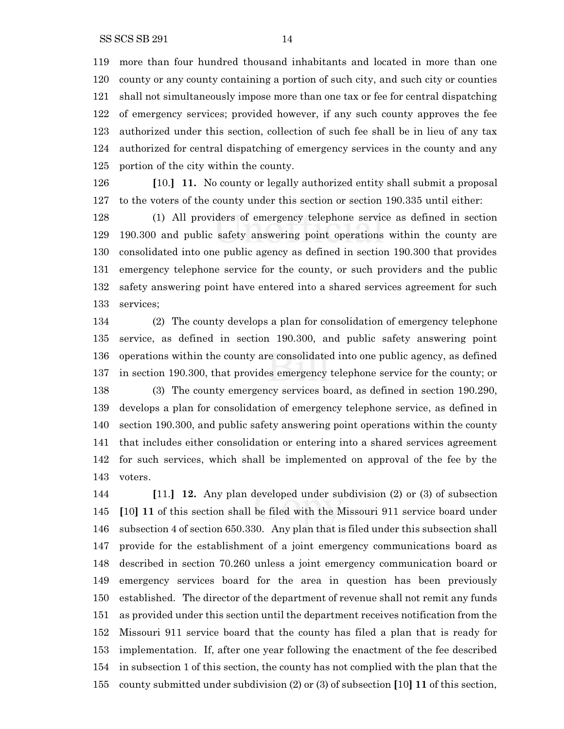more than four hundred thousand inhabitants and located in more than one county or any county containing a portion of such city, and such city or counties shall not simultaneously impose more than one tax or fee for central dispatching of emergency services; provided however, if any such county approves the fee authorized under this section, collection of such fee shall be in lieu of any tax authorized for central dispatching of emergency services in the county and any portion of the city within the county.

 **[**10.**] 11.** No county or legally authorized entity shall submit a proposal to the voters of the county under this section or section 190.335 until either:

 (1) All providers of emergency telephone service as defined in section 190.300 and public safety answering point operations within the county are consolidated into one public agency as defined in section 190.300 that provides emergency telephone service for the county, or such providers and the public safety answering point have entered into a shared services agreement for such services;

 (2) The county develops a plan for consolidation of emergency telephone service, as defined in section 190.300, and public safety answering point operations within the county are consolidated into one public agency, as defined in section 190.300, that provides emergency telephone service for the county; or (3) The county emergency services board, as defined in section 190.290, develops a plan for consolidation of emergency telephone service, as defined in section 190.300, and public safety answering point operations within the county that includes either consolidation or entering into a shared services agreement for such services, which shall be implemented on approval of the fee by the voters.

 **[**11.**] 12.** Any plan developed under subdivision (2) or (3) of subsection **[**10**] 11** of this section shall be filed with the Missouri 911 service board under subsection 4 of section 650.330. Any plan that is filed under this subsection shall provide for the establishment of a joint emergency communications board as described in section 70.260 unless a joint emergency communication board or emergency services board for the area in question has been previously established. The director of the department of revenue shall not remit any funds as provided under this section until the department receives notification from the Missouri 911 service board that the county has filed a plan that is ready for implementation. If, after one year following the enactment of the fee described in subsection 1 of this section, the county has not complied with the plan that the county submitted under subdivision (2) or (3) of subsection **[**10**] 11** of this section,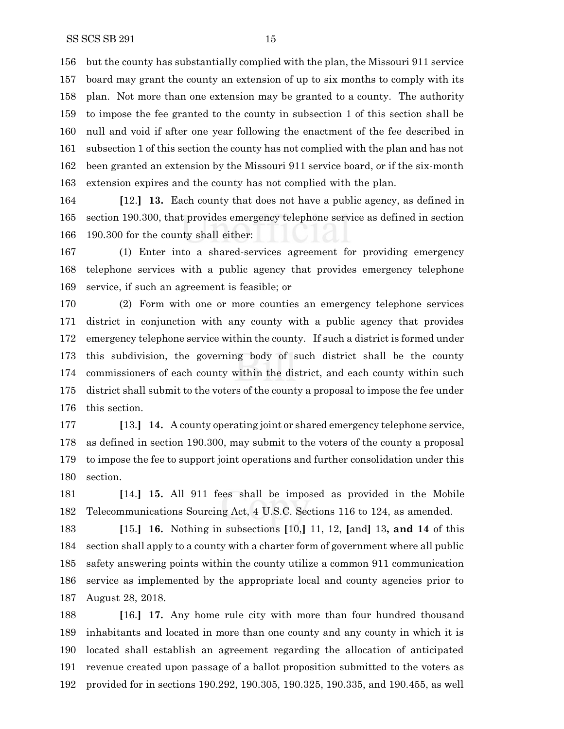but the county has substantially complied with the plan, the Missouri 911 service board may grant the county an extension of up to six months to comply with its plan. Not more than one extension may be granted to a county. The authority to impose the fee granted to the county in subsection 1 of this section shall be null and void if after one year following the enactment of the fee described in subsection 1 of this section the county has not complied with the plan and has not been granted an extension by the Missouri 911 service board, or if the six-month extension expires and the county has not complied with the plan.

 **[**12.**] 13.** Each county that does not have a public agency, as defined in section 190.300, that provides emergency telephone service as defined in section 190.300 for the county shall either:

 (1) Enter into a shared-services agreement for providing emergency telephone services with a public agency that provides emergency telephone service, if such an agreement is feasible; or

 (2) Form with one or more counties an emergency telephone services district in conjunction with any county with a public agency that provides emergency telephone service within the county. If such a district is formed under this subdivision, the governing body of such district shall be the county commissioners of each county within the district, and each county within such district shall submit to the voters of the county a proposal to impose the fee under this section.

 **[**13.**] 14.** A county operating joint or shared emergency telephone service, as defined in section 190.300, may submit to the voters of the county a proposal to impose the fee to support joint operations and further consolidation under this section.

 **[**14.**] 15.** All 911 fees shall be imposed as provided in the Mobile Telecommunications Sourcing Act, 4 U.S.C. Sections 116 to 124, as amended.

 **[**15.**] 16.** Nothing in subsections **[**10,**]** 11, 12, **[**and**]** 13**, and 14** of this section shall apply to a county with a charter form of government where all public safety answering points within the county utilize a common 911 communication service as implemented by the appropriate local and county agencies prior to August 28, 2018.

 **[**16.**] 17.** Any home rule city with more than four hundred thousand inhabitants and located in more than one county and any county in which it is located shall establish an agreement regarding the allocation of anticipated revenue created upon passage of a ballot proposition submitted to the voters as provided for in sections 190.292, 190.305, 190.325, 190.335, and 190.455, as well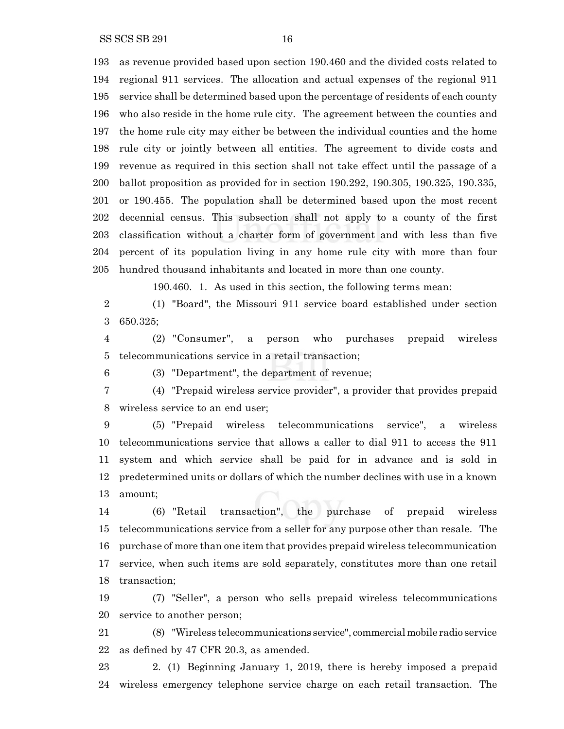SS SCS SB 291 16

 as revenue provided based upon section 190.460 and the divided costs related to regional 911 services. The allocation and actual expenses of the regional 911 service shall be determined based upon the percentage of residents of each county who also reside in the home rule city. The agreement between the counties and the home rule city may either be between the individual counties and the home rule city or jointly between all entities. The agreement to divide costs and revenue as required in this section shall not take effect until the passage of a ballot proposition as provided for in section 190.292, 190.305, 190.325, 190.335, or 190.455. The population shall be determined based upon the most recent

 classification without a charter form of government and with less than five percent of its population living in any home rule city with more than four hundred thousand inhabitants and located in more than one county.

decennial census. This subsection shall not apply to a county of the first

190.460. 1. As used in this section, the following terms mean:

 (1) "Board", the Missouri 911 service board established under section 650.325;

 (2) "Consumer", a person who purchases prepaid wireless telecommunications service in a retail transaction;

(3) "Department", the department of revenue;

 (4) "Prepaid wireless service provider", a provider that provides prepaid wireless service to an end user;

 (5) "Prepaid wireless telecommunications service", a wireless telecommunications service that allows a caller to dial 911 to access the 911 system and which service shall be paid for in advance and is sold in predetermined units or dollars of which the number declines with use in a known amount;

 (6) "Retail transaction", the purchase of prepaid wireless telecommunications service from a seller for any purpose other than resale. The purchase of more than one item that provides prepaid wireless telecommunication service, when such items are sold separately, constitutes more than one retail transaction;

 (7) "Seller", a person who sells prepaid wireless telecommunications service to another person;

 (8) "Wireless telecommunications service", commercial mobile radio service as defined by 47 CFR 20.3, as amended.

 2. (1) Beginning January 1, 2019, there is hereby imposed a prepaid wireless emergency telephone service charge on each retail transaction. The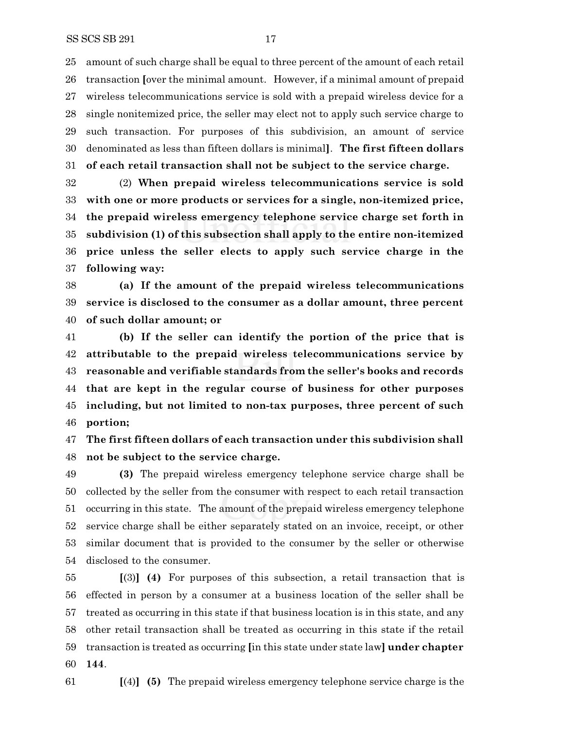wireless telecommunications service is sold with a prepaid wireless device for a single nonitemized price, the seller may elect not to apply such service charge to such transaction. For purposes of this subdivision, an amount of service denominated as less than fifteen dollars is minimal**]**. **The first fifteen dollars of each retail transaction shall not be subject to the service charge.**

 (2) **When prepaid wireless telecommunications service is sold with one or more products or services for a single, non-itemized price, the prepaid wireless emergency telephone service charge set forth in subdivision (1) of this subsection shall apply to the entire non-itemized price unless the seller elects to apply such service charge in the following way:**

 **(a) If the amount of the prepaid wireless telecommunications service is disclosed to the consumer as a dollar amount, three percent of such dollar amount; or**

 **(b) If the seller can identify the portion of the price that is attributable to the prepaid wireless telecommunications service by reasonable and verifiable standards from the seller's books and records that are kept in the regular course of business for other purposes including, but not limited to non-tax purposes, three percent of such portion;**

 **The first fifteen dollars of each transaction under this subdivision shall not be subject to the service charge.**

 **(3)** The prepaid wireless emergency telephone service charge shall be collected by the seller from the consumer with respect to each retail transaction occurring in this state. The amount of the prepaid wireless emergency telephone service charge shall be either separately stated on an invoice, receipt, or other similar document that is provided to the consumer by the seller or otherwise disclosed to the consumer.

 **[**(3)**] (4)** For purposes of this subsection, a retail transaction that is effected in person by a consumer at a business location of the seller shall be treated as occurring in this state if that business location is in this state, and any other retail transaction shall be treated as occurring in this state if the retail transaction is treated as occurring **[**in this state under state law**] under chapter 144**.

**[**(4)**] (5)** The prepaid wireless emergency telephone service charge is the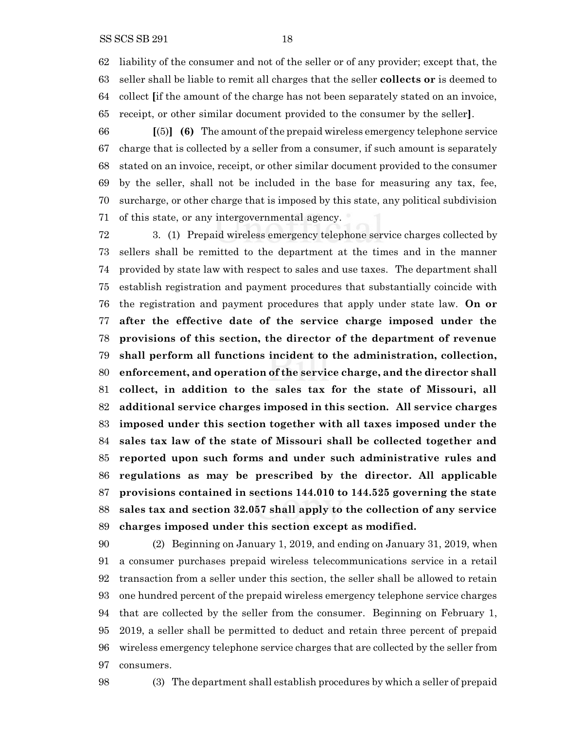liability of the consumer and not of the seller or of any provider; except that, the seller shall be liable to remit all charges that the seller **collects or** is deemed to collect **[**if the amount of the charge has not been separately stated on an invoice, receipt, or other similar document provided to the consumer by the seller**]**.

 **[**(5)**] (6)** The amount of the prepaid wireless emergency telephone service charge that is collected by a seller from a consumer, if such amount is separately stated on an invoice, receipt, or other similar document provided to the consumer by the seller, shall not be included in the base for measuring any tax, fee, surcharge, or other charge that is imposed by this state, any political subdivision of this state, or any intergovernmental agency.

 3. (1) Prepaid wireless emergency telephone service charges collected by sellers shall be remitted to the department at the times and in the manner provided by state law with respect to sales and use taxes. The department shall establish registration and payment procedures that substantially coincide with the registration and payment procedures that apply under state law. **On or after the effective date of the service charge imposed under the provisions of this section, the director of the department of revenue shall perform all functions incident to the administration, collection, enforcement, and operation of the service charge, and the director shall collect, in addition to the sales tax for the state of Missouri, all additional service charges imposed in this section. All service charges imposed under this section together with all taxes imposed under the sales tax law of the state of Missouri shall be collected together and reported upon such forms and under such administrative rules and regulations as may be prescribed by the director. All applicable provisions contained in sections 144.010 to 144.525 governing the state sales tax and section 32.057 shall apply to the collection of any service charges imposed under this section except as modified.**

 (2) Beginning on January 1, 2019, and ending on January 31, 2019, when a consumer purchases prepaid wireless telecommunications service in a retail transaction from a seller under this section, the seller shall be allowed to retain one hundred percent of the prepaid wireless emergency telephone service charges that are collected by the seller from the consumer. Beginning on February 1, 2019, a seller shall be permitted to deduct and retain three percent of prepaid wireless emergency telephone service charges that are collected by the seller from consumers.

(3) The department shall establish procedures by which a seller of prepaid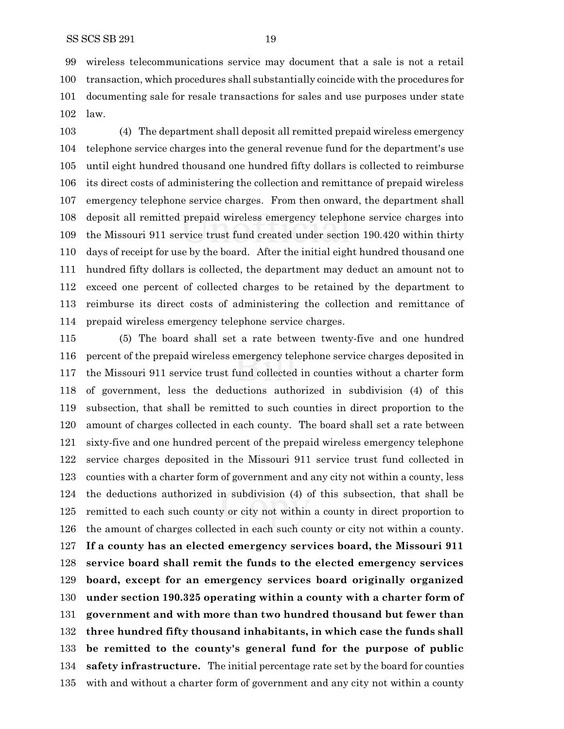wireless telecommunications service may document that a sale is not a retail transaction, which procedures shall substantially coincide with the procedures for documenting sale for resale transactions for sales and use purposes under state law.

 (4) The department shall deposit all remitted prepaid wireless emergency telephone service charges into the general revenue fund for the department's use until eight hundred thousand one hundred fifty dollars is collected to reimburse its direct costs of administering the collection and remittance of prepaid wireless emergency telephone service charges. From then onward, the department shall deposit all remitted prepaid wireless emergency telephone service charges into the Missouri 911 service trust fund created under section 190.420 within thirty days of receipt for use by the board. After the initial eight hundred thousand one hundred fifty dollars is collected, the department may deduct an amount not to exceed one percent of collected charges to be retained by the department to reimburse its direct costs of administering the collection and remittance of prepaid wireless emergency telephone service charges.

 (5) The board shall set a rate between twenty-five and one hundred percent of the prepaid wireless emergency telephone service charges deposited in the Missouri 911 service trust fund collected in counties without a charter form of government, less the deductions authorized in subdivision (4) of this subsection, that shall be remitted to such counties in direct proportion to the amount of charges collected in each county. The board shall set a rate between sixty-five and one hundred percent of the prepaid wireless emergency telephone service charges deposited in the Missouri 911 service trust fund collected in counties with a charter form of government and any city not within a county, less the deductions authorized in subdivision (4) of this subsection, that shall be remitted to each such county or city not within a county in direct proportion to the amount of charges collected in each such county or city not within a county. **If a county has an elected emergency services board, the Missouri 911 service board shall remit the funds to the elected emergency services board, except for an emergency services board originally organized under section 190.325 operating within a county with a charter form of government and with more than two hundred thousand but fewer than three hundred fifty thousand inhabitants, in which case the funds shall be remitted to the county's general fund for the purpose of public safety infrastructure.** The initial percentage rate set by the board for counties with and without a charter form of government and any city not within a county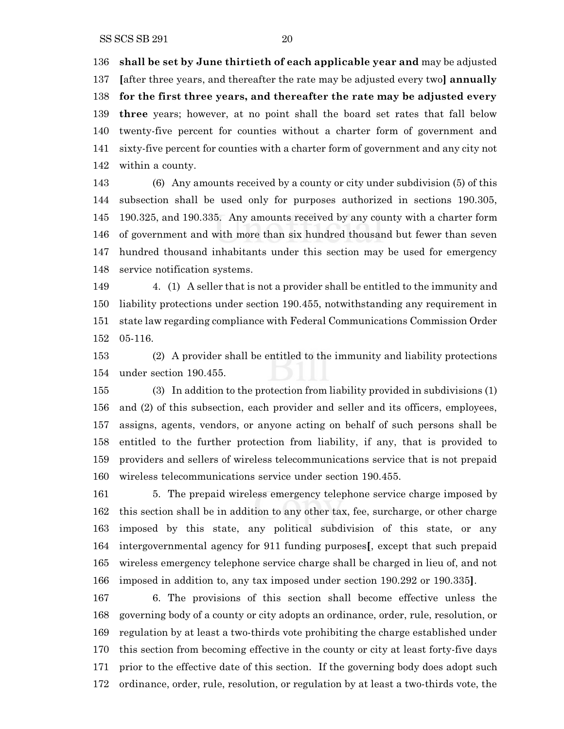**shall be set by June thirtieth of each applicable year and** may be adjusted **[**after three years, and thereafter the rate may be adjusted every two**] annually for the first three years, and thereafter the rate may be adjusted every three** years; however, at no point shall the board set rates that fall below twenty-five percent for counties without a charter form of government and sixty-five percent for counties with a charter form of government and any city not within a county.

 (6) Any amounts received by a county or city under subdivision (5) of this subsection shall be used only for purposes authorized in sections 190.305, 190.325, and 190.335. Any amounts received by any county with a charter form of government and with more than six hundred thousand but fewer than seven hundred thousand inhabitants under this section may be used for emergency service notification systems.

 4. (1) A seller that is not a provider shall be entitled to the immunity and liability protections under section 190.455, notwithstanding any requirement in state law regarding compliance with Federal Communications Commission Order 05-116.

 (2) A provider shall be entitled to the immunity and liability protections under section 190.455.

 (3) In addition to the protection from liability provided in subdivisions (1) and (2) of this subsection, each provider and seller and its officers, employees, assigns, agents, vendors, or anyone acting on behalf of such persons shall be entitled to the further protection from liability, if any, that is provided to providers and sellers of wireless telecommunications service that is not prepaid wireless telecommunications service under section 190.455.

 5. The prepaid wireless emergency telephone service charge imposed by this section shall be in addition to any other tax, fee, surcharge, or other charge imposed by this state, any political subdivision of this state, or any intergovernmental agency for 911 funding purposes**[**, except that such prepaid wireless emergency telephone service charge shall be charged in lieu of, and not imposed in addition to, any tax imposed under section 190.292 or 190.335**]**.

 6. The provisions of this section shall become effective unless the governing body of a county or city adopts an ordinance, order, rule, resolution, or regulation by at least a two-thirds vote prohibiting the charge established under this section from becoming effective in the county or city at least forty-five days prior to the effective date of this section. If the governing body does adopt such ordinance, order, rule, resolution, or regulation by at least a two-thirds vote, the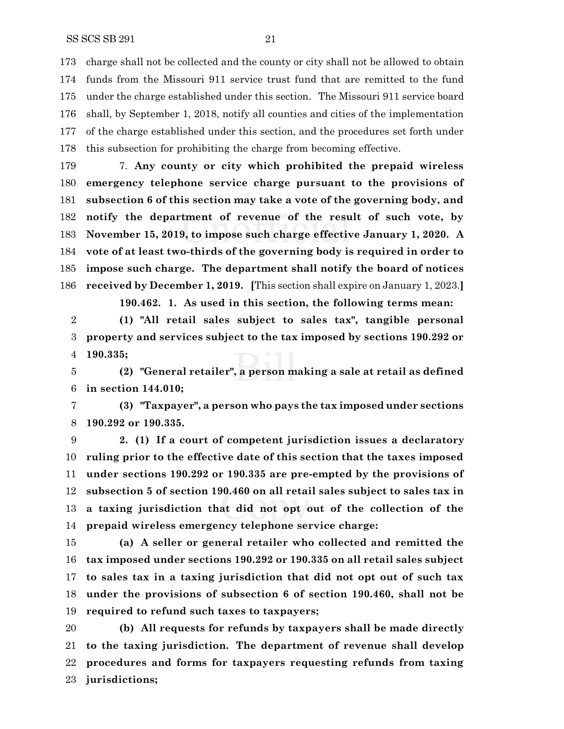charge shall not be collected and the county or city shall not be allowed to obtain funds from the Missouri 911 service trust fund that are remitted to the fund under the charge established under this section. The Missouri 911 service board shall, by September 1, 2018, notify all counties and cities of the implementation of the charge established under this section, and the procedures set forth under this subsection for prohibiting the charge from becoming effective.

 7. **Any county or city which prohibited the prepaid wireless emergency telephone service charge pursuant to the provisions of subsection 6 of this section may take a vote of the governing body, and notify the department of revenue of the result of such vote, by November 15, 2019, to impose such charge effective January 1, 2020. A vote of at least two-thirds of the governing body is required in order to impose such charge. The department shall notify the board of notices received by December 1, 2019. [**This section shall expire on January 1, 2023.**]**

**190.462. 1. As used in this section, the following terms mean:**

 **(1) "All retail sales subject to sales tax", tangible personal property and services subject to the tax imposed by sections 190.292 or 190.335;**

 **(2) "General retailer", a person making a sale at retail as defined in section 144.010;**

 **(3) "Taxpayer", a person who pays the tax imposed under sections 190.292 or 190.335.**

 **2. (1) If a court of competent jurisdiction issues a declaratory ruling prior to the effective date of this section that the taxes imposed under sections 190.292 or 190.335 are pre-empted by the provisions of subsection 5 of section 190.460 on all retail sales subject to sales tax in a taxing jurisdiction that did not opt out of the collection of the prepaid wireless emergency telephone service charge:**

 **(a) A seller or general retailer who collected and remitted the tax imposed under sections 190.292 or 190.335 on all retail sales subject to sales tax in a taxing jurisdiction that did not opt out of such tax under the provisions of subsection 6 of section 190.460, shall not be required to refund such taxes to taxpayers;**

 **(b) All requests for refunds by taxpayers shall be made directly to the taxing jurisdiction. The department of revenue shall develop procedures and forms for taxpayers requesting refunds from taxing jurisdictions;**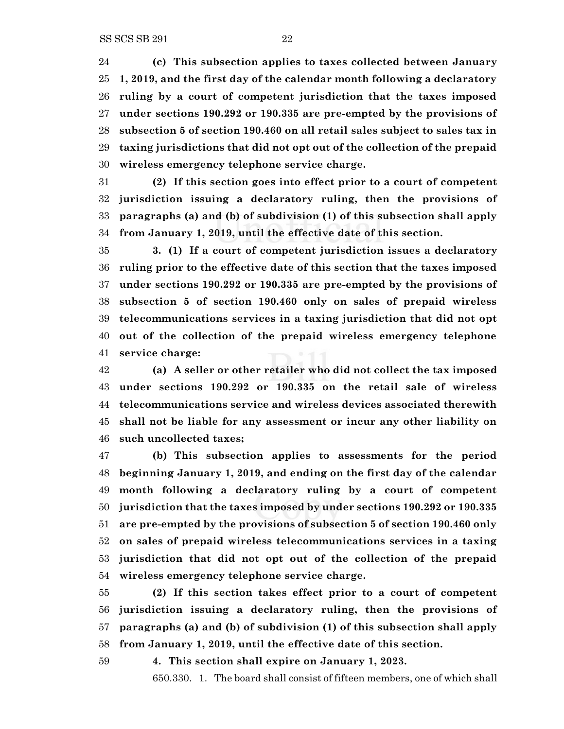**(c) This subsection applies to taxes collected between January 1, 2019, and the first day of the calendar month following a declaratory ruling by a court of competent jurisdiction that the taxes imposed under sections 190.292 or 190.335 are pre-empted by the provisions of subsection 5 of section 190.460 on all retail sales subject to sales tax in taxing jurisdictions that did not opt out of the collection of the prepaid wireless emergency telephone service charge.**

 **(2) If this section goes into effect prior to a court of competent jurisdiction issuing a declaratory ruling, then the provisions of paragraphs (a) and (b) of subdivision (1) of this subsection shall apply from January 1, 2019, until the effective date of this section.**

 **3. (1) If a court of competent jurisdiction issues a declaratory ruling prior to the effective date of this section that the taxes imposed under sections 190.292 or 190.335 are pre-empted by the provisions of subsection 5 of section 190.460 only on sales of prepaid wireless telecommunications services in a taxing jurisdiction that did not opt out of the collection of the prepaid wireless emergency telephone service charge:**

 **(a) A seller or other retailer who did not collect the tax imposed under sections 190.292 or 190.335 on the retail sale of wireless telecommunications service and wireless devices associated therewith shall not be liable for any assessment or incur any other liability on such uncollected taxes;**

 **(b) This subsection applies to assessments for the period beginning January 1, 2019, and ending on the first day of the calendar month following a declaratory ruling by a court of competent jurisdiction that the taxes imposed by under sections 190.292 or 190.335 are pre-empted by the provisions of subsection 5 of section 190.460 only on sales of prepaid wireless telecommunications services in a taxing jurisdiction that did not opt out of the collection of the prepaid wireless emergency telephone service charge.**

 **(2) If this section takes effect prior to a court of competent jurisdiction issuing a declaratory ruling, then the provisions of paragraphs (a) and (b) of subdivision (1) of this subsection shall apply from January 1, 2019, until the effective date of this section.**

**4. This section shall expire on January 1, 2023.**

650.330. 1. The board shall consist of fifteen members, one of which shall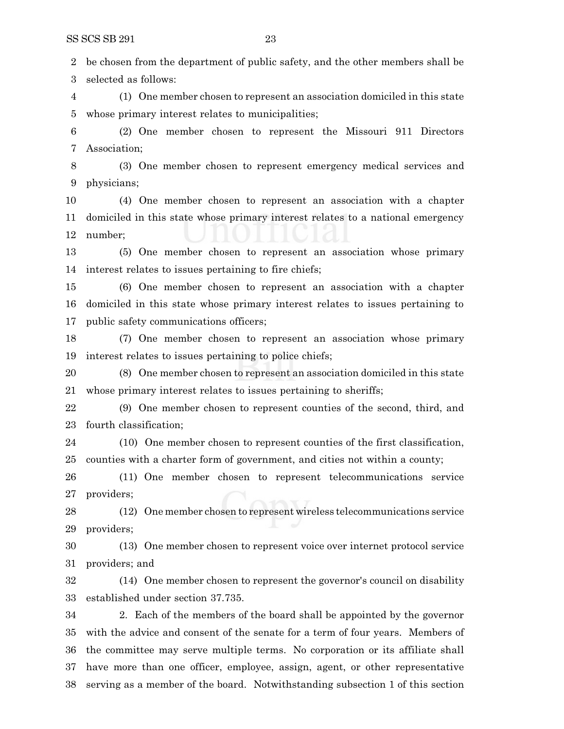be chosen from the department of public safety, and the other members shall be selected as follows:

 (1) One member chosen to represent an association domiciled in this state whose primary interest relates to municipalities;

 (2) One member chosen to represent the Missouri 911 Directors Association;

 (3) One member chosen to represent emergency medical services and physicians;

 (4) One member chosen to represent an association with a chapter domiciled in this state whose primary interest relates to a national emergency number;

 (5) One member chosen to represent an association whose primary interest relates to issues pertaining to fire chiefs;

 (6) One member chosen to represent an association with a chapter domiciled in this state whose primary interest relates to issues pertaining to public safety communications officers;

 (7) One member chosen to represent an association whose primary interest relates to issues pertaining to police chiefs;

 (8) One member chosen to represent an association domiciled in this state whose primary interest relates to issues pertaining to sheriffs;

 (9) One member chosen to represent counties of the second, third, and fourth classification;

 (10) One member chosen to represent counties of the first classification, counties with a charter form of government, and cities not within a county;

 (11) One member chosen to represent telecommunications service providers;

 (12) One member chosen to represent wireless telecommunications service providers;

 (13) One member chosen to represent voice over internet protocol service providers; and

 (14) One member chosen to represent the governor's council on disability established under section 37.735.

 2. Each of the members of the board shall be appointed by the governor with the advice and consent of the senate for a term of four years. Members of the committee may serve multiple terms. No corporation or its affiliate shall have more than one officer, employee, assign, agent, or other representative serving as a member of the board. Notwithstanding subsection 1 of this section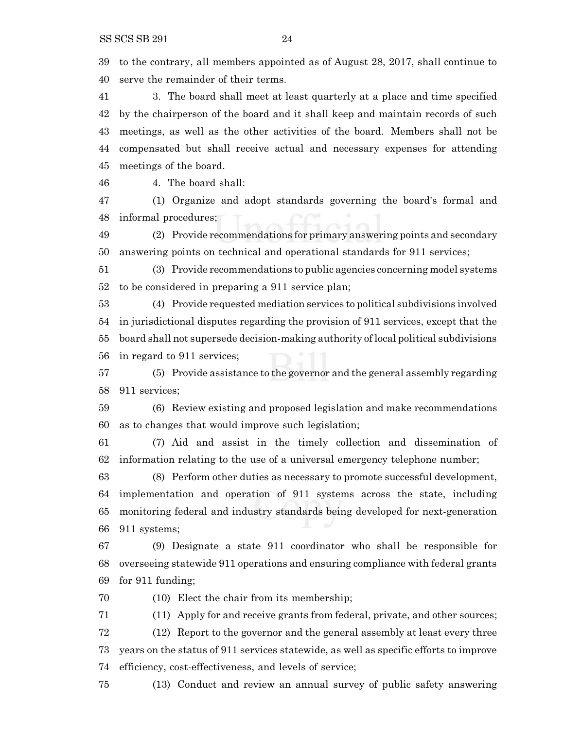to the contrary, all members appointed as of August 28, 2017, shall continue to serve the remainder of their terms.

 3. The board shall meet at least quarterly at a place and time specified by the chairperson of the board and it shall keep and maintain records of such meetings, as well as the other activities of the board. Members shall not be compensated but shall receive actual and necessary expenses for attending meetings of the board.

4. The board shall:

 (1) Organize and adopt standards governing the board's formal and informal procedures;

 (2) Provide recommendations for primary answering points and secondary answering points on technical and operational standards for 911 services;

 (3) Provide recommendations to public agencies concerning model systems to be considered in preparing a 911 service plan;

 (4) Provide requested mediation services to political subdivisions involved in jurisdictional disputes regarding the provision of 911 services, except that the board shall not supersede decision-making authority of local political subdivisions in regard to 911 services;

 (5) Provide assistance to the governor and the general assembly regarding 911 services;

 (6) Review existing and proposed legislation and make recommendations as to changes that would improve such legislation;

 (7) Aid and assist in the timely collection and dissemination of information relating to the use of a universal emergency telephone number;

 (8) Perform other duties as necessary to promote successful development, implementation and operation of 911 systems across the state, including monitoring federal and industry standards being developed for next-generation 911 systems;

 (9) Designate a state 911 coordinator who shall be responsible for overseeing statewide 911 operations and ensuring compliance with federal grants for 911 funding;

(10) Elect the chair from its membership;

(11) Apply for and receive grants from federal, private, and other sources;

 (12) Report to the governor and the general assembly at least every three years on the status of 911 services statewide, as well as specific efforts to improve efficiency, cost-effectiveness, and levels of service;

(13) Conduct and review an annual survey of public safety answering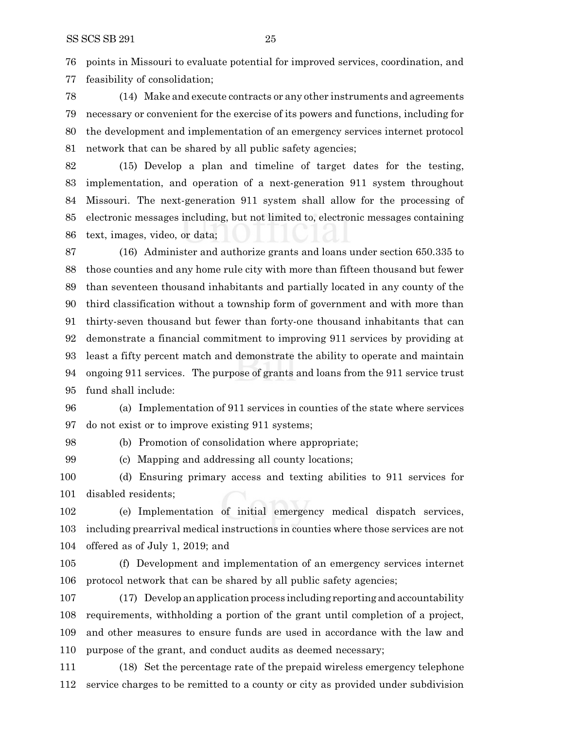points in Missouri to evaluate potential for improved services, coordination, and feasibility of consolidation;

 (14) Make and execute contracts or any other instruments and agreements necessary or convenient for the exercise of its powers and functions, including for the development and implementation of an emergency services internet protocol network that can be shared by all public safety agencies;

 (15) Develop a plan and timeline of target dates for the testing, implementation, and operation of a next-generation 911 system throughout Missouri. The next-generation 911 system shall allow for the processing of electronic messages including, but not limited to, electronic messages containing text, images, video, or data;

 (16) Administer and authorize grants and loans under section 650.335 to those counties and any home rule city with more than fifteen thousand but fewer than seventeen thousand inhabitants and partially located in any county of the third classification without a township form of government and with more than thirty-seven thousand but fewer than forty-one thousand inhabitants that can demonstrate a financial commitment to improving 911 services by providing at least a fifty percent match and demonstrate the ability to operate and maintain ongoing 911 services. The purpose of grants and loans from the 911 service trust fund shall include:

 (a) Implementation of 911 services in counties of the state where services do not exist or to improve existing 911 systems;

(b) Promotion of consolidation where appropriate;

(c) Mapping and addressing all county locations;

 (d) Ensuring primary access and texting abilities to 911 services for disabled residents;

 (e) Implementation of initial emergency medical dispatch services, including prearrival medical instructions in counties where those services are not offered as of July 1, 2019; and

 (f) Development and implementation of an emergency services internet protocol network that can be shared by all public safety agencies;

 (17) Develop an application process including reporting and accountability requirements, withholding a portion of the grant until completion of a project, and other measures to ensure funds are used in accordance with the law and purpose of the grant, and conduct audits as deemed necessary;

 (18) Set the percentage rate of the prepaid wireless emergency telephone service charges to be remitted to a county or city as provided under subdivision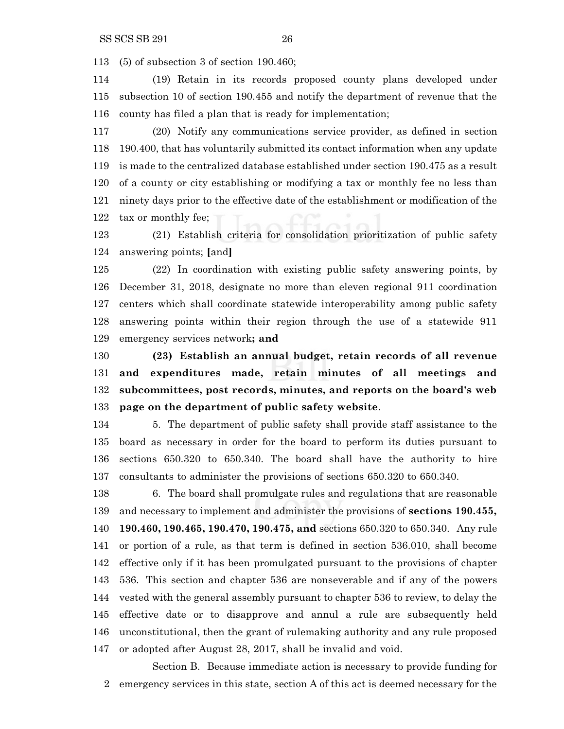(5) of subsection 3 of section 190.460;

 (19) Retain in its records proposed county plans developed under subsection 10 of section 190.455 and notify the department of revenue that the county has filed a plan that is ready for implementation;

 (20) Notify any communications service provider, as defined in section 190.400, that has voluntarily submitted its contact information when any update is made to the centralized database established under section 190.475 as a result of a county or city establishing or modifying a tax or monthly fee no less than ninety days prior to the effective date of the establishment or modification of the tax or monthly fee;

 (21) Establish criteria for consolidation prioritization of public safety answering points; **[**and**]**

 (22) In coordination with existing public safety answering points, by December 31, 2018, designate no more than eleven regional 911 coordination centers which shall coordinate statewide interoperability among public safety answering points within their region through the use of a statewide 911 emergency services network**; and**

 **(23) Establish an annual budget, retain records of all revenue and expenditures made, retain minutes of all meetings and subcommittees, post records, minutes, and reports on the board's web page on the department of public safety website**.

 5. The department of public safety shall provide staff assistance to the board as necessary in order for the board to perform its duties pursuant to sections 650.320 to 650.340. The board shall have the authority to hire consultants to administer the provisions of sections 650.320 to 650.340.

 6. The board shall promulgate rules and regulations that are reasonable and necessary to implement and administer the provisions of **sections 190.455, 190.460, 190.465, 190.470, 190.475, and** sections 650.320 to 650.340. Any rule or portion of a rule, as that term is defined in section 536.010, shall become effective only if it has been promulgated pursuant to the provisions of chapter 536. This section and chapter 536 are nonseverable and if any of the powers vested with the general assembly pursuant to chapter 536 to review, to delay the effective date or to disapprove and annul a rule are subsequently held unconstitutional, then the grant of rulemaking authority and any rule proposed or adopted after August 28, 2017, shall be invalid and void.

Section B. Because immediate action is necessary to provide funding for emergency services in this state, section A of this act is deemed necessary for the